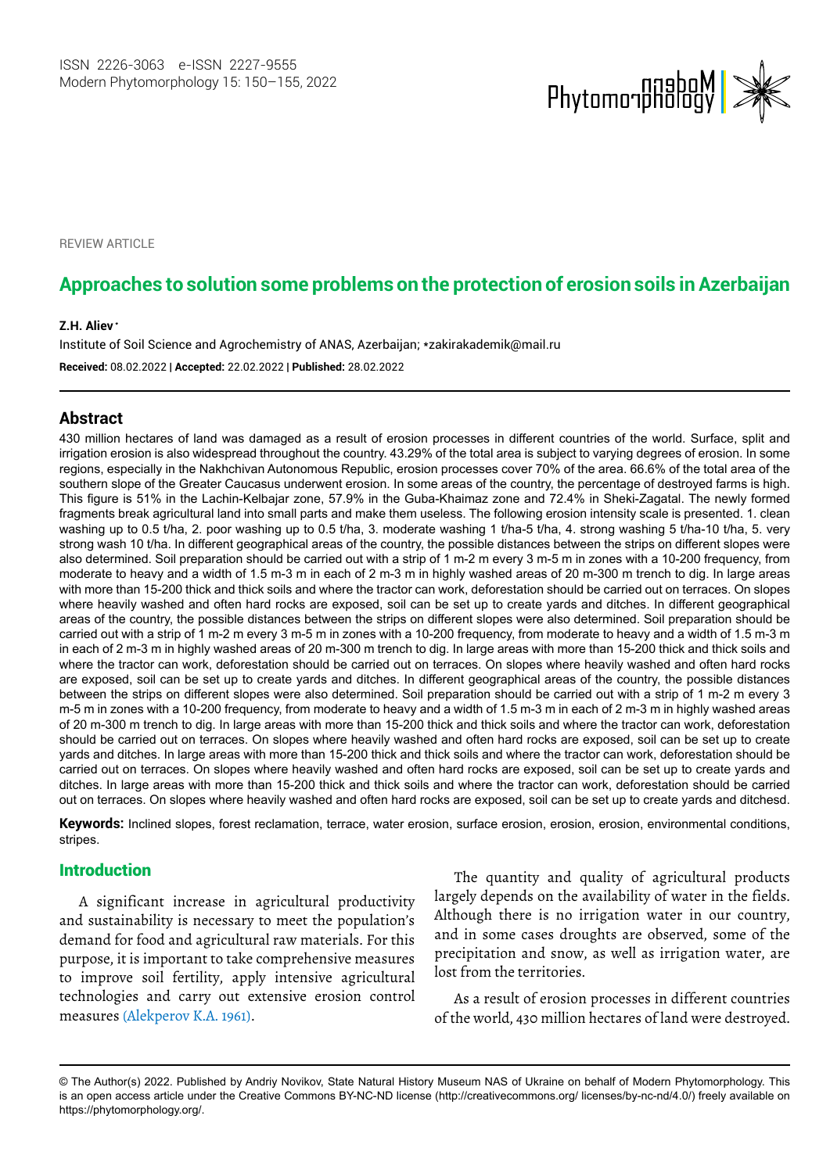

**REVIEW ARTICLE** 

# **Approaches to solution some problems on the protection of erosion soils in Azerbaijan**

#### **Z.H. Aliev\* \***

Institute of Soil Science and Agrochemistry of ANAS, Azerbaijan; \*zakirakademik@mail.ru **Received:** 08.02.2022 | **Accepted:** 22.02.2022 | **Published:** 28.02.2022

#### **Abstract**

430 million hectares of land was damaged as a result of erosion processes in different countries of the world. Surface, split and irrigation erosion is also widespread throughout the country. 43.29% of the total area is subject to varying degrees of erosion. In some regions, especially in the Nakhchivan Autonomous Republic, erosion processes cover 70% of the area. 66.6% of the total area of the southern slope of the Greater Caucasus underwent erosion. In some areas of the country, the percentage of destroyed farms is high. This figure is 51% in the Lachin-Kelbajar zone, 57.9% in the Guba-Khaimaz zone and 72.4% in Sheki-Zagatal. The newly formed fragments break agricultural land into small parts and make them useless. The following erosion intensity scale is presented. 1. clean washing up to 0.5 t/ha, 2. poor washing up to 0.5 t/ha, 3. moderate washing 1 t/ha-5 t/ha, 4. strong washing 5 t/ha-10 t/ha, 5. very strong wash 10 t/ha. In different geographical areas of the country, the possible distances between the strips on different slopes were also determined. Soil preparation should be carried out with a strip of 1 m-2 m every 3 m-5 m in zones with a 10-200 frequency, from moderate to heavy and a width of 1.5 m-3 m in each of 2 m-3 m in highly washed areas of 20 m-300 m trench to dig. In large areas with more than 15-200 thick and thick soils and where the tractor can work, deforestation should be carried out on terraces. On slopes where heavily washed and often hard rocks are exposed, soil can be set up to create yards and ditches. In different geographical areas of the country, the possible distances between the strips on different slopes were also determined. Soil preparation should be carried out with a strip of 1 m-2 m every 3 m-5 m in zones with a 10-200 frequency, from moderate to heavy and a width of 1.5 m-3 m in each of 2 m-3 m in highly washed areas of 20 m-300 m trench to dig. In large areas with more than 15-200 thick and thick soils and where the tractor can work, deforestation should be carried out on terraces. On slopes where heavily washed and often hard rocks are exposed, soil can be set up to create yards and ditches. In different geographical areas of the country, the possible distances between the strips on different slopes were also determined. Soil preparation should be carried out with a strip of 1 m-2 m every 3 m-5 m in zones with a 10-200 frequency, from moderate to heavy and a width of 1.5 m-3 m in each of 2 m-3 m in highly washed areas of 20 m-300 m trench to dig. In large areas with more than 15-200 thick and thick soils and where the tractor can work, deforestation should be carried out on terraces. On slopes where heavily washed and often hard rocks are exposed, soil can be set up to create yards and ditches. In large areas with more than 15-200 thick and thick soils and where the tractor can work, deforestation should be carried out on terraces. On slopes where heavily washed and often hard rocks are exposed, soil can be set up to create yards and ditches. In large areas with more than 15-200 thick and thick soils and where the tractor can work, deforestation should be carried out on terraces. On slopes where heavily washed and often hard rocks are exposed, soil can be set up to create yards and ditchesd.

**Keywords:** Inclined slopes, forest reclamation, terrace, water erosion, surface erosion, erosion, erosion, environmental conditions, stripes.

### Introduction

A significant increase in agricultural productivity and sustainability is necessary to meet the population's demand for food and agricultural raw materials. For this purpose, it is important to take comprehensive measures to improve soil fertility, apply intensive agricultural technologies and carry out extensive erosion control measures (Alekperov K.A. 1961).

The quantity and quality of agricultural products largely depends on the availability of water in the fields. Although there is no irrigation water in our country, and in some cases droughts are observed, some of the precipitation and snow, as well as irrigation water, are lost from the territories.

As a result of erosion processes in different countries of the world, 430 million hectares of land were destroyed.

<sup>©</sup> The Author(s) 2022. Published by Andriy Novikov, State Natural History Museum NAS of Ukraine on behalf of Modern Phytomorphology. This is an open access article under the Creative Commons BY-NC-ND license (http://creativecommons.org/ licenses/by-nc-nd/4.0/) freely available on https://phytomorphology.org/.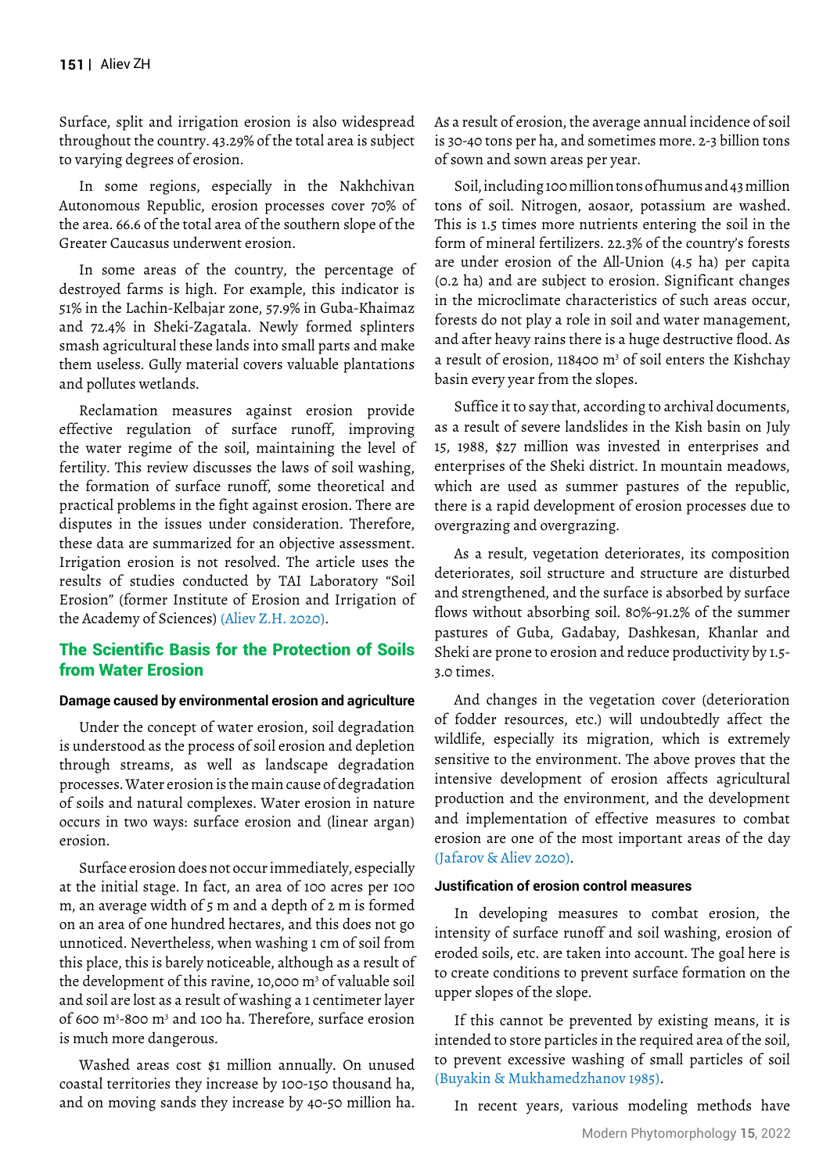Surface, split and irrigation erosion is also widespread throughout the country. 43.29% of the total area is subject to varying degrees of erosion.

In some regions, especially in the Nakhchivan Autonomous Republic, erosion processes cover 70% of the area. 66.6 of the total area of the southern slope of the Greater Caucasus underwent erosion.

In some areas of the country, the percentage of destroyed farms is high. For example, this indicator is 51% in the Lachin-Kelbajar zone, 57.9% in Guba-Khaimaz and 72.4% in Sheki-Zagatala. Newly formed splinters smash agricultural these lands into small parts and make them useless. Gully material covers valuable plantations and pollutes wetlands.

Reclamation measures against erosion provide effective regulation of surface runoff, improving the water regime of the soil, maintaining the level of fertility. This review discusses the laws of soil washing, the formation of surface runoff, some theoretical and practical problems in the fight against erosion. There are disputes in the issues under consideration. Therefore, these data are summarized for an objective assessment. Irrigation erosion is not resolved. The article uses the results of studies conducted by TAI Laboratory "Soil Erosion" (former Institute of Erosion and Irrigation of the Academy of Sciences) (Aliev Z.H. 2020).

### The Scientific Basis for the Protection of Soils from Water Erosion

#### **Damage caused by environmental erosion and agriculture**

Under the concept of water erosion, soil degradation is understood as the process of soil erosion and depletion through streams, as well as landscape degradation processes. Water erosion is the main cause of degradation of soils and natural complexes. Water erosion in nature occurs in two ways: surface erosion and (linear argan) erosion.

Surface erosion does not occur immediately, especially at the initial stage. In fact, an area of 100 acres per 100 m, an average width of 5 m and a depth of 2 m is formed on an area of one hundred hectares, and this does not go unnoticed. Nevertheless, when washing 1 cm of soil from this place, this is barely noticeable, although as a result of the development of this ravine, 10,000  $\mathrm{m}^3$  of valuable soil and soil are lost as a result of washing a 1 centimeter layer of 600 m3 -800 m3 and 100 ha. Therefore, surface erosion is much more dangerous.

Washed areas cost \$1 million annually. On unused coastal territories they increase by 100-150 thousand ha, and on moving sands they increase by 40-50 million ha.

As a result of erosion, the average annual incidence of soil is 30-40 tons per ha, and sometimes more. 2-3 billion tons of sown and sown areas per year.

Soil, including 100 million tons of humus and 43 million tons of soil. Nitrogen, aosaor, potassium are washed. This is 1.5 times more nutrients entering the soil in the form of mineral fertilizers. 22.3% of the country's forests are under erosion of the All-Union (4.5 ha) per capita (0.2 ha) and are subject to erosion. Significant changes in the microclimate characteristics of such areas occur, forests do not play a role in soil and water management, and after heavy rains there is a huge destructive flood. As a result of erosion, 118400  $m<sup>3</sup>$  of soil enters the Kishchay basin every year from the slopes.

Suffice it to say that, according to archival documents, as a result of severe landslides in the Kish basin on July 15, 1988, \$27 million was invested in enterprises and enterprises of the Sheki district. In mountain meadows, which are used as summer pastures of the republic, there is a rapid development of erosion processes due to overgrazing and overgrazing.

As a result, vegetation deteriorates, its composition deteriorates, soil structure and structure are disturbed and strengthened, and the surface is absorbed by surface flows without absorbing soil. 80%-91.2% of the summer pastures of Guba, Gadabay, Dashkesan, Khanlar and Sheki are prone to erosion and reduce productivity by 1.5- 3.0 times.

And changes in the vegetation cover (deterioration of fodder resources, etc.) will undoubtedly affect the wildlife, especially its migration, which is extremely sensitive to the environment. The above proves that the intensive development of erosion affects agricultural production and the environment, and the development and implementation of effective measures to combat erosion are one of the most important areas of the day (Jafarov & Aliev 2020).

#### **Justification of erosion control measures**

In developing measures to combat erosion, the intensity of surface runoff and soil washing, erosion of eroded soils, etc. are taken into account. The goal here is to create conditions to prevent surface formation on the upper slopes of the slope.

If this cannot be prevented by existing means, it is intended to store particles in the required area of the soil, to prevent excessive washing of small particles of soil (Buyakin & Mukhamedzhanov 1985).

In recent years, various modeling methods have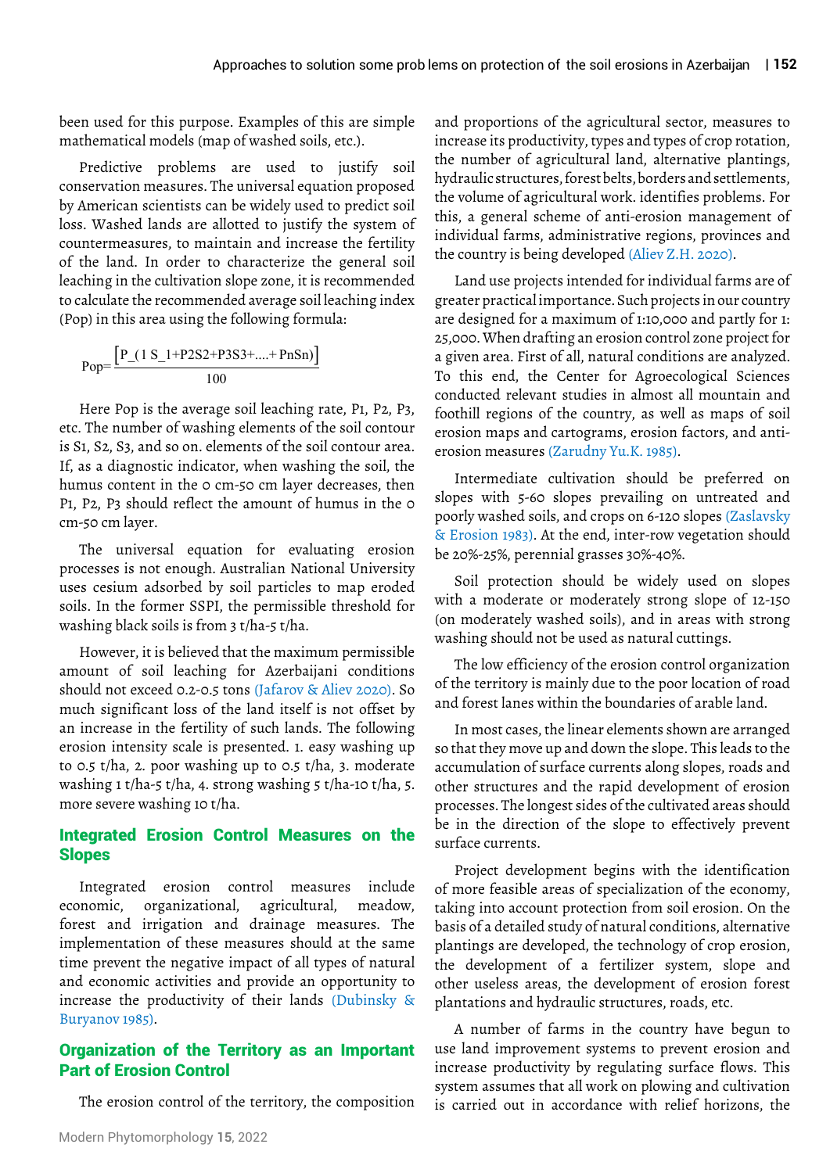been used for this purpose. Examples of this are simple mathematical models (map of washed soils, etc.).

Predictive problems are used to justify soil conservation measures. The universal equation proposed by American scientists can be widely used to predict soil loss. Washed lands are allotted to justify the system of countermeasures, to maintain and increase the fertility of the land. In order to characterize the general soil leaching in the cultivation slope zone, it is recommended to calculate the recommended average soil leaching index (Pop) in this area using the following formula:

Pop=
$$
\frac{\left[P_{-}(1 S_{-}1+P2 S2+P3 S3+....+P n S n)\right]}{100}
$$

Here Pop is the average soil leaching rate, P1, P2, P3, etc. The number of washing elements of the soil contour is S1, S2, S3, and so on. elements of the soil contour area. If, as a diagnostic indicator, when washing the soil, the humus content in the 0 cm-50 cm layer decreases, then P1, P2, P3 should reflect the amount of humus in the 0 cm-50 cm layer.

The universal equation for evaluating erosion processes is not enough. Australian National University uses cesium adsorbed by soil particles to map eroded soils. In the former SSPI, the permissible threshold for washing black soils is from 3 t/ha-5 t/ha.

However, it is believed that the maximum permissible amount of soil leaching for Azerbaijani conditions should not exceed 0.2-0.5 tons (Jafarov & Aliev 2020). So much significant loss of the land itself is not offset by an increase in the fertility of such lands. The following erosion intensity scale is presented. 1. easy washing up to 0.5 t/ha, 2. poor washing up to 0.5 t/ha, 3. moderate washing 1 t/ha-5 t/ha, 4. strong washing 5 t/ha-10 t/ha, 5. more severe washing 10 t/ha.

### Integrated Erosion Control Measures on the Slopes

Integrated erosion control measures include economic, organizational, agricultural, meadow, forest and irrigation and drainage measures. The implementation of these measures should at the same time prevent the negative impact of all types of natural and economic activities and provide an opportunity to increase the productivity of their lands (Dubinsky & Buryanov 1985).

### Organization of the Territory as an Important Part of Erosion Control

The erosion control of the territory, the composition

and proportions of the agricultural sector, measures to increase its productivity, types and types of crop rotation, the number of agricultural land, alternative plantings, hydraulic structures, forest belts, borders and settlements, the volume of agricultural work. identifies problems. For this, a general scheme of anti-erosion management of individual farms, administrative regions, provinces and the country is being developed (Aliev Z.H. 2020).

Land use projects intended for individual farms are of greater practical importance. Such projects in our country are designed for a maximum of 1:10,000 and partly for 1: 25,000. When drafting an erosion control zone project for a given area. First of all, natural conditions are analyzed. To this end, the Center for Agroecological Sciences conducted relevant studies in almost all mountain and foothill regions of the country, as well as maps of soil erosion maps and cartograms, erosion factors, and antierosion measures (Zarudny Yu.K. 1985).

Intermediate cultivation should be preferred on slopes with 5-60 slopes prevailing on untreated and poorly washed soils, and crops on 6-120 slopes (Zaslavsky & Erosion 1983). At the end, inter-row vegetation should be 20%-25%, perennial grasses 30%-40%.

Soil protection should be widely used on slopes with a moderate or moderately strong slope of 12-150 (on moderately washed soils), and in areas with strong washing should not be used as natural cuttings.

The low efficiency of the erosion control organization of the territory is mainly due to the poor location of road and forest lanes within the boundaries of arable land.

In most cases, the linear elements shown are arranged so that they move up and down the slope. This leads to the accumulation of surface currents along slopes, roads and other structures and the rapid development of erosion processes. The longest sides of the cultivated areas should be in the direction of the slope to effectively prevent surface currents.

Project development begins with the identification of more feasible areas of specialization of the economy, taking into account protection from soil erosion. On the basis of a detailed study of natural conditions, alternative plantings are developed, the technology of crop erosion, the development of a fertilizer system, slope and other useless areas, the development of erosion forest plantations and hydraulic structures, roads, etc.

A number of farms in the country have begun to use land improvement systems to prevent erosion and increase productivity by regulating surface flows. This system assumes that all work on plowing and cultivation is carried out in accordance with relief horizons, the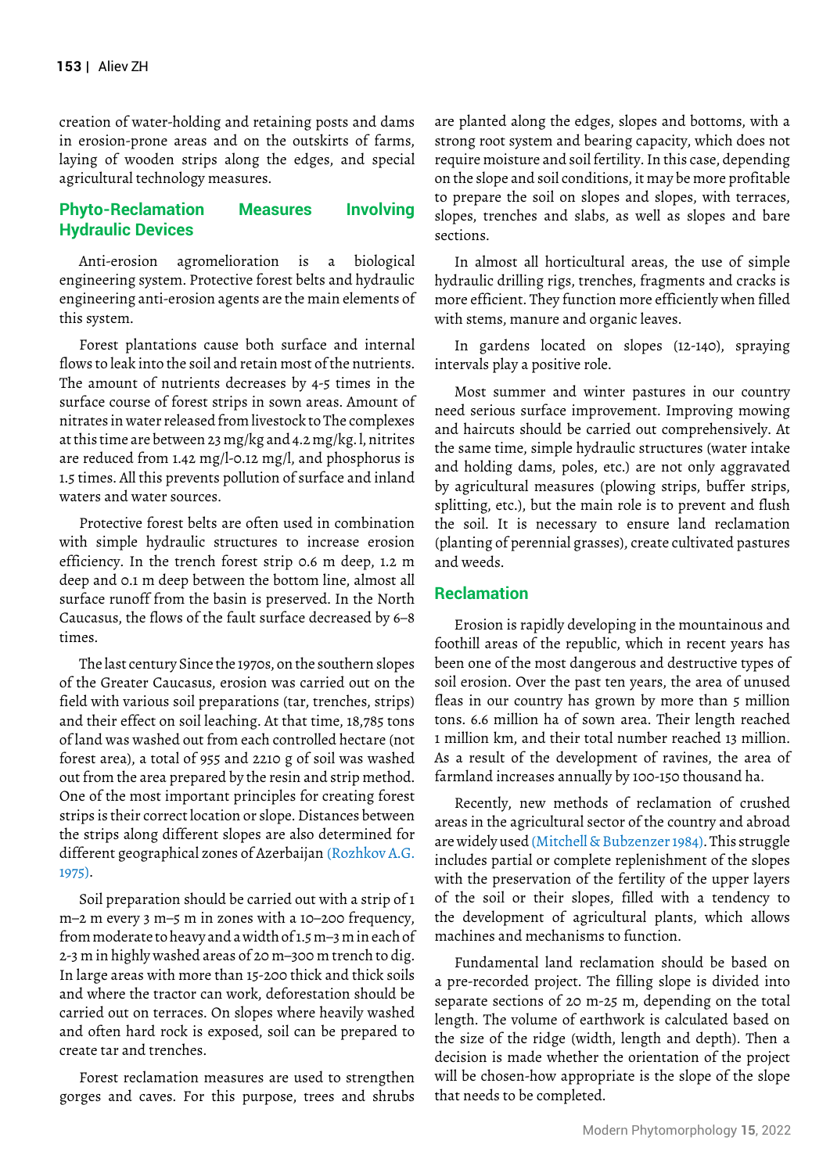creation of water-holding and retaining posts and dams in erosion-prone areas and on the outskirts of farms, laying of wooden strips along the edges, and special agricultural technology measures.

## **Phyto-Reclamation Measures Involving Hydraulic Devices**

Anti-erosion agromelioration is a biological engineering system. Protective forest belts and hydraulic engineering anti-erosion agents are the main elements of this system.

Forest plantations cause both surface and internal flows to leak into the soil and retain most of the nutrients. The amount of nutrients decreases by 4-5 times in the surface course of forest strips in sown areas. Amount of nitrates in water released from livestock to The complexes at this time are between 23 mg/kg and 4.2 mg/kg. l, nitrites are reduced from 1.42 mg/l-0.12 mg/l, and phosphorus is 1.5 times. All this prevents pollution of surface and inland waters and water sources.

Protective forest belts are often used in combination with simple hydraulic structures to increase erosion efficiency. In the trench forest strip 0.6 m deep, 1.2 m deep and 0.1 m deep between the bottom line, almost all surface runoff from the basin is preserved. In the North Caucasus, the flows of the fault surface decreased by 6–8 times.

The last century Since the 1970s, on the southern slopes of the Greater Caucasus, erosion was carried out on the field with various soil preparations (tar, trenches, strips) and their effect on soil leaching. At that time, 18,785 tons of land was washed out from each controlled hectare (not forest area), a total of 955 and 2210 g of soil was washed out from the area prepared by the resin and strip method. One of the most important principles for creating forest strips is their correct location or slope. Distances between the strips along different slopes are also determined for different geographical zones of Azerbaijan (Rozhkov A.G. 1975).

Soil preparation should be carried out with a strip of 1 m–2 m every 3 m–5 m in zones with a 10–200 frequency, from moderate to heavy and a width of 1.5 m–3 m in each of 2-3 m in highly washed areas of 20 m–300 m trench to dig. In large areas with more than 15-200 thick and thick soils and where the tractor can work, deforestation should be carried out on terraces. On slopes where heavily washed and often hard rock is exposed, soil can be prepared to create tar and trenches.

Forest reclamation measures are used to strengthen gorges and caves. For this purpose, trees and shrubs are planted along the edges, slopes and bottoms, with a strong root system and bearing capacity, which does not require moisture and soil fertility. In this case, depending on the slope and soil conditions, it may be more profitable to prepare the soil on slopes and slopes, with terraces, slopes, trenches and slabs, as well as slopes and bare sections.

In almost all horticultural areas, the use of simple hydraulic drilling rigs, trenches, fragments and cracks is more efficient. They function more efficiently when filled with stems, manure and organic leaves.

In gardens located on slopes (12-140), spraying intervals play a positive role.

Most summer and winter pastures in our country need serious surface improvement. Improving mowing and haircuts should be carried out comprehensively. At the same time, simple hydraulic structures (water intake and holding dams, poles, etc.) are not only aggravated by agricultural measures (plowing strips, buffer strips, splitting, etc.), but the main role is to prevent and flush the soil. It is necessary to ensure land reclamation (planting of perennial grasses), create cultivated pastures and weeds.

### **Reclamation**

Erosion is rapidly developing in the mountainous and foothill areas of the republic, which in recent years has been one of the most dangerous and destructive types of soil erosion. Over the past ten years, the area of unused fleas in our country has grown by more than 5 million tons. 6.6 million ha of sown area. Their length reached 1 million km, and their total number reached 13 million. As a result of the development of ravines, the area of farmland increases annually by 100-150 thousand ha.

Recently, new methods of reclamation of crushed areas in the agricultural sector of the country and abroad are widely used (Mitchell & Bubzenzer 1984). This struggle includes partial or complete replenishment of the slopes with the preservation of the fertility of the upper layers of the soil or their slopes, filled with a tendency to the development of agricultural plants, which allows machines and mechanisms to function.

Fundamental land reclamation should be based on a pre-recorded project. The filling slope is divided into separate sections of 20 m-25 m, depending on the total length. The volume of earthwork is calculated based on the size of the ridge (width, length and depth). Then a decision is made whether the orientation of the project will be chosen-how appropriate is the slope of the slope that needs to be completed.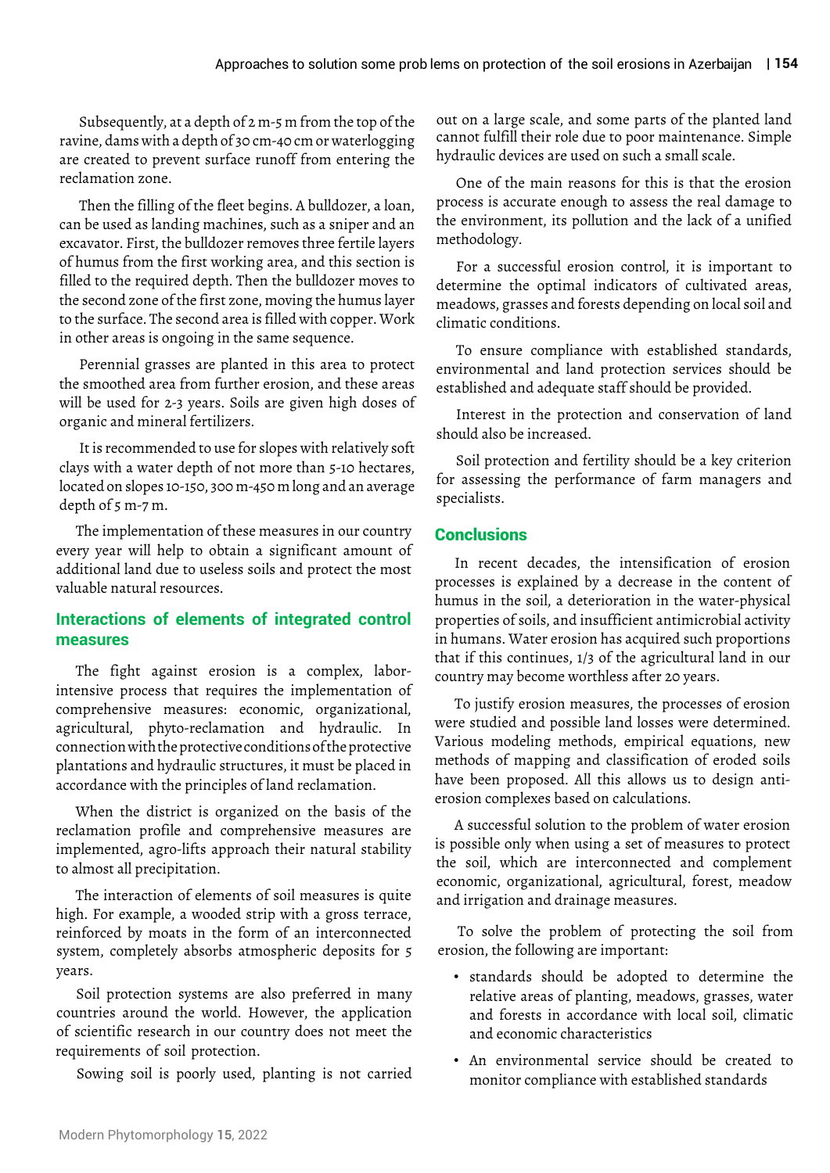Subsequently, at a depth of 2 m-5 m from the top of the ravine, dams with a depth of 30 cm-40 cm or waterlogging are created to prevent surface runoff from entering the reclamation zone.

Then the filling of the fleet begins. A bulldozer, a loan, can be used as landing machines, such as a sniper and an excavator. First, the bulldozer removes three fertile layers of humus from the first working area, and this section is filled to the required depth. Then the bulldozer moves to the second zone of the first zone, moving the humus layer to the surface. The second area is filled with copper. Work in other areas is ongoing in the same sequence.

Perennial grasses are planted in this area to protect the smoothed area from further erosion, and these areas will be used for 2-3 years. Soils are given high doses of organic and mineral fertilizers.

It is recommended to use for slopes with relatively soft clays with a water depth of not more than 5-10 hectares, located on slopes 10-150, 300 m-450 m long and an average depth of 5 m-7 m.

The implementation of these measures in our country every year will help to obtain a significant amount of additional land due to useless soils and protect the most valuable natural resources.

## **Interactions of elements of integrated control measures**

The fight against erosion is a complex, laborintensive process that requires the implementation of comprehensive measures: economic, organizational, agricultural, phyto-reclamation and hydraulic. In connection with the protective conditions of the protective plantations and hydraulic structures, it must be placed in accordance with the principles of land reclamation.

When the district is organized on the basis of the reclamation profile and comprehensive measures are implemented, agro-lifts approach their natural stability to almost all precipitation.

The interaction of elements of soil measures is quite high. For example, a wooded strip with a gross terrace, reinforced by moats in the form of an interconnected system, completely absorbs atmospheric deposits for 5 years.

Soil protection systems are also preferred in many countries around the world. However, the application of scientific research in our country does not meet the requirements of soil protection.

Sowing soil is poorly used, planting is not carried

out on a large scale, and some parts of the planted land cannot fulfill their role due to poor maintenance. Simple hydraulic devices are used on such a small scale.

One of the main reasons for this is that the erosion process is accurate enough to assess the real damage to the environment, its pollution and the lack of a unified methodology.

For a successful erosion control, it is important to determine the optimal indicators of cultivated areas, meadows, grasses and forests depending on local soil and climatic conditions.

To ensure compliance with established standards, environmental and land protection services should be established and adequate staff should be provided.

Interest in the protection and conservation of land should also be increased.

Soil protection and fertility should be a key criterion for assessing the performance of farm managers and specialists.

### **Conclusions**

In recent decades, the intensification of erosion processes is explained by a decrease in the content of humus in the soil, a deterioration in the water-physical properties of soils, and insufficient antimicrobial activity in humans. Water erosion has acquired such proportions that if this continues, 1/3 of the agricultural land in our country may become worthless after 20 years.

To justify erosion measures, the processes of erosion were studied and possible land losses were determined. Various modeling methods, empirical equations, new methods of mapping and classification of eroded soils have been proposed. All this allows us to design antierosion complexes based on calculations.

A successful solution to the problem of water erosion is possible only when using a set of measures to protect the soil, which are interconnected and complement economic, organizational, agricultural, forest, meadow and irrigation and drainage measures.

To solve the problem of protecting the soil from erosion, the following are important:

- standards should be adopted to determine the relative areas of planting, meadows, grasses, water and forests in accordance with local soil, climatic and economic characteristics
- An environmental service should be created to monitor compliance with established standards